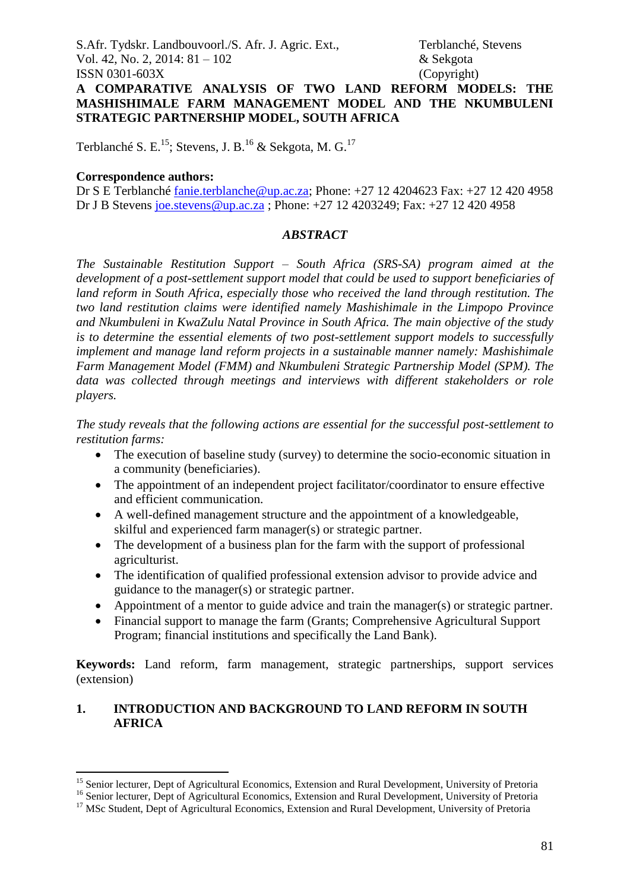**A COMPARATIVE ANALYSIS OF TWO LAND REFORM MODELS: THE MASHISHIMALE FARM MANAGEMENT MODEL AND THE NKUMBULENI STRATEGIC PARTNERSHIP MODEL, SOUTH AFRICA**

Terblanché S. E.<sup>15</sup>; Stevens, J. B.<sup>16</sup> & Sekgota, M. G.<sup>17</sup>

#### **Correspondence authors:**

1

Dr S E Terblanché [fanie.terblanche@up.ac.za;](mailto:fanie.terblanche@up.ac.za) Phone: +27 12 4204623 Fax: +27 12 420 4958 Dr J B Stevens [joe.stevens@up.ac.za](mailto:joe.stevens@up.ac.za) ; Phone: +27 12 4203249; Fax: +27 12 420 4958

#### *ABSTRACT*

*The Sustainable Restitution Support – South Africa (SRS-SA) program aimed at the development of a post-settlement support model that could be used to support beneficiaries of land reform in South Africa, especially those who received the land through restitution. The two land restitution claims were identified namely Mashishimale in the Limpopo Province and Nkumbuleni in KwaZulu Natal Province in South Africa. The main objective of the study is to determine the essential elements of two post-settlement support models to successfully implement and manage land reform projects in a sustainable manner namely: Mashishimale Farm Management Model (FMM) and Nkumbuleni Strategic Partnership Model (SPM). The data was collected through meetings and interviews with different stakeholders or role players.*

*The study reveals that the following actions are essential for the successful post-settlement to restitution farms:*

- The execution of baseline study (survey) to determine the socio-economic situation in a community (beneficiaries).
- The appointment of an independent project facilitator/coordinator to ensure effective and efficient communication.
- A well-defined management structure and the appointment of a knowledgeable, skilful and experienced farm manager(s) or strategic partner.
- The development of a business plan for the farm with the support of professional agriculturist.
- The identification of qualified professional extension advisor to provide advice and guidance to the manager(s) or strategic partner.
- Appointment of a mentor to guide advice and train the manager(s) or strategic partner.
- Financial support to manage the farm (Grants; Comprehensive Agricultural Support Program; financial institutions and specifically the Land Bank).

**Keywords:** Land reform, farm management, strategic partnerships, support services (extension)

#### **1. INTRODUCTION AND BACKGROUND TO LAND REFORM IN SOUTH AFRICA**

<sup>&</sup>lt;sup>15</sup> Senior lecturer, Dept of Agricultural Economics, Extension and Rural Development, University of Pretoria

<sup>&</sup>lt;sup>16</sup> Senior lecturer, Dept of Agricultural Economics, Extension and Rural Development, University of Pretoria

<sup>&</sup>lt;sup>17</sup> MSc Student, Dept of Agricultural Economics, Extension and Rural Development, University of Pretoria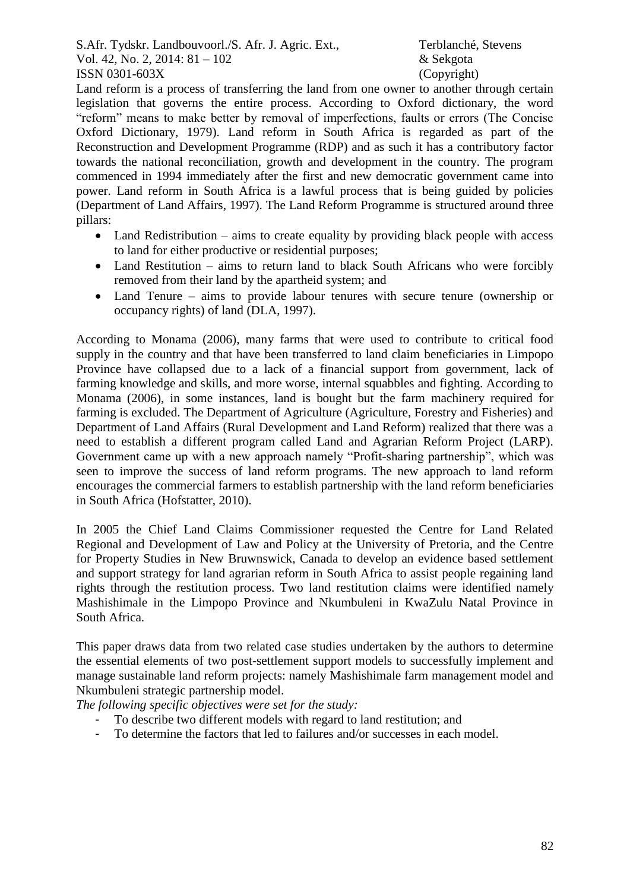Land reform is a process of transferring the land from one owner to another through certain legislation that governs the entire process. According to Oxford dictionary, the word "reform" means to make better by removal of imperfections, faults or errors (The Concise Oxford Dictionary, 1979). Land reform in South Africa is regarded as part of the Reconstruction and Development Programme (RDP) and as such it has a contributory factor towards the national reconciliation, growth and development in the country. The program commenced in 1994 immediately after the first and new democratic government came into power. Land reform in South Africa is a lawful process that is being guided by policies (Department of Land Affairs, 1997). The Land Reform Programme is structured around three pillars:

- Land Redistribution aims to create equality by providing black people with access to land for either productive or residential purposes;
- Land Restitution aims to return land to black South Africans who were forcibly removed from their land by the apartheid system; and
- Land Tenure aims to provide labour tenures with secure tenure (ownership or occupancy rights) of land (DLA, 1997).

According to Monama (2006), many farms that were used to contribute to critical food supply in the country and that have been transferred to land claim beneficiaries in Limpopo Province have collapsed due to a lack of a financial support from government, lack of farming knowledge and skills, and more worse, internal squabbles and fighting. According to Monama (2006), in some instances, land is bought but the farm machinery required for farming is excluded. The Department of Agriculture (Agriculture, Forestry and Fisheries) and Department of Land Affairs (Rural Development and Land Reform) realized that there was a need to establish a different program called Land and Agrarian Reform Project (LARP). Government came up with a new approach namely "Profit-sharing partnership", which was seen to improve the success of land reform programs. The new approach to land reform encourages the commercial farmers to establish partnership with the land reform beneficiaries in South Africa (Hofstatter, 2010).

In 2005 the Chief Land Claims Commissioner requested the Centre for Land Related Regional and Development of Law and Policy at the University of Pretoria, and the Centre for Property Studies in New Bruwnswick, Canada to develop an evidence based settlement and support strategy for land agrarian reform in South Africa to assist people regaining land rights through the restitution process. Two land restitution claims were identified namely Mashishimale in the Limpopo Province and Nkumbuleni in KwaZulu Natal Province in South Africa.

This paper draws data from two related case studies undertaken by the authors to determine the essential elements of two post-settlement support models to successfully implement and manage sustainable land reform projects: namely Mashishimale farm management model and Nkumbuleni strategic partnership model.

*The following specific objectives were set for the study:*

- To describe two different models with regard to land restitution; and
- To determine the factors that led to failures and/or successes in each model.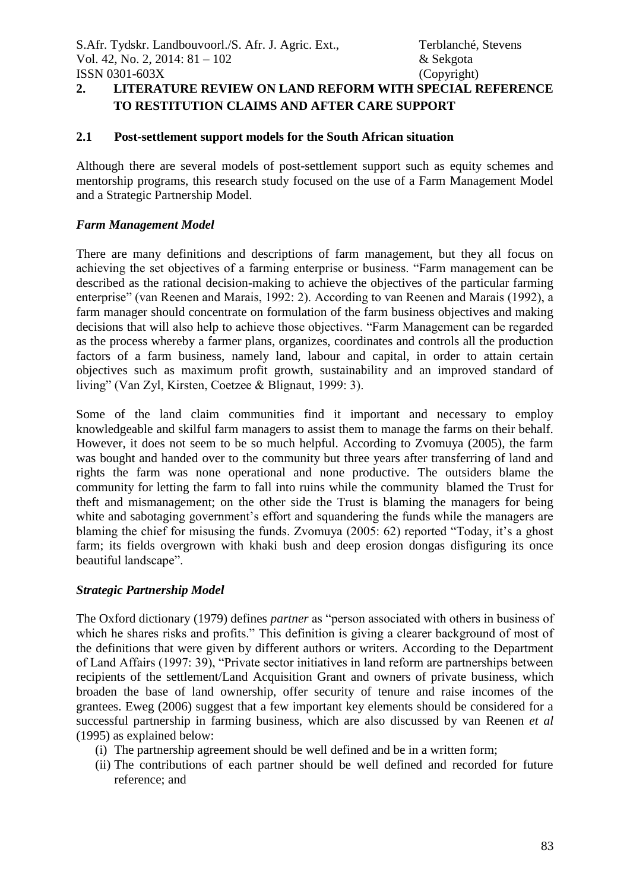# **2. LITERATURE REVIEW ON LAND REFORM WITH SPECIAL REFERENCE TO RESTITUTION CLAIMS AND AFTER CARE SUPPORT**

#### **2.1 Post-settlement support models for the South African situation**

Although there are several models of post-settlement support such as equity schemes and mentorship programs, this research study focused on the use of a Farm Management Model and a Strategic Partnership Model.

#### *Farm Management Model*

There are many definitions and descriptions of farm management, but they all focus on achieving the set objectives of a farming enterprise or business. "Farm management can be described as the rational decision-making to achieve the objectives of the particular farming enterprise" (van Reenen and Marais, 1992: 2). According to van Reenen and Marais (1992), a farm manager should concentrate on formulation of the farm business objectives and making decisions that will also help to achieve those objectives. "Farm Management can be regarded as the process whereby a farmer plans, organizes, coordinates and controls all the production factors of a farm business, namely land, labour and capital, in order to attain certain objectives such as maximum profit growth, sustainability and an improved standard of living" (Van Zyl, Kirsten, Coetzee & Blignaut, 1999: 3).

Some of the land claim communities find it important and necessary to employ knowledgeable and skilful farm managers to assist them to manage the farms on their behalf. However, it does not seem to be so much helpful. According to Zvomuya (2005), the farm was bought and handed over to the community but three years after transferring of land and rights the farm was none operational and none productive. The outsiders blame the community for letting the farm to fall into ruins while the community blamed the Trust for theft and mismanagement; on the other side the Trust is blaming the managers for being white and sabotaging government's effort and squandering the funds while the managers are blaming the chief for misusing the funds. Zvomuya (2005: 62) reported "Today, it's a ghost farm; its fields overgrown with khaki bush and deep erosion dongas disfiguring its once beautiful landscape".

#### *Strategic Partnership Model*

The Oxford dictionary (1979) defines *partner* as "person associated with others in business of which he shares risks and profits." This definition is giving a clearer background of most of the definitions that were given by different authors or writers. According to the Department of Land Affairs (1997: 39), "Private sector initiatives in land reform are partnerships between recipients of the settlement/Land Acquisition Grant and owners of private business, which broaden the base of land ownership, offer security of tenure and raise incomes of the grantees. Eweg (2006) suggest that a few important key elements should be considered for a successful partnership in farming business, which are also discussed by van Reenen *et al* (1995) as explained below:

- (i) The partnership agreement should be well defined and be in a written form;
- (ii) The contributions of each partner should be well defined and recorded for future reference; and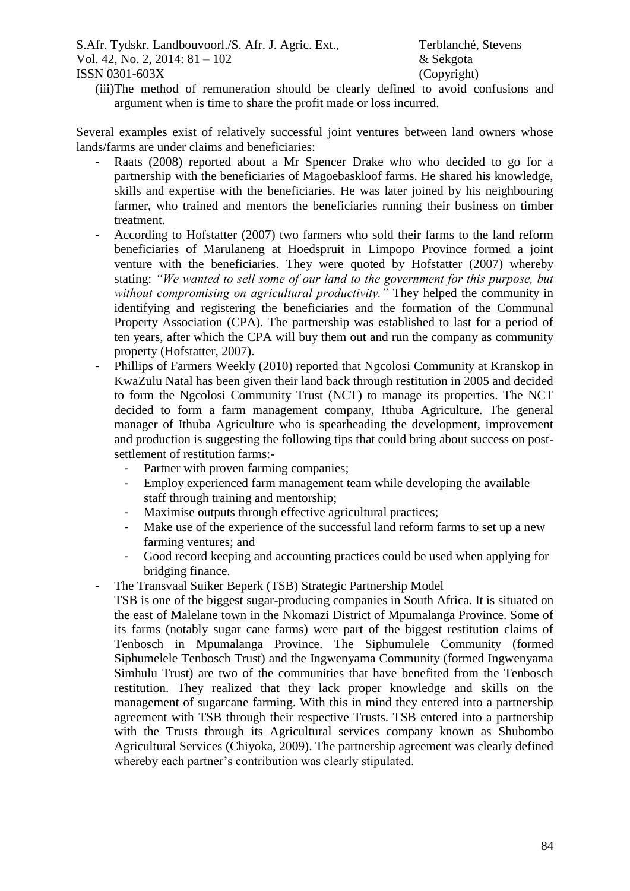(iii)The method of remuneration should be clearly defined to avoid confusions and argument when is time to share the profit made or loss incurred.

Several examples exist of relatively successful joint ventures between land owners whose lands/farms are under claims and beneficiaries:

- Raats (2008) reported about a Mr Spencer Drake who who decided to go for a partnership with the beneficiaries of Magoebaskloof farms. He shared his knowledge, skills and expertise with the beneficiaries. He was later joined by his neighbouring farmer, who trained and mentors the beneficiaries running their business on timber treatment.
- According to Hofstatter (2007) two farmers who sold their farms to the land reform beneficiaries of Marulaneng at Hoedspruit in Limpopo Province formed a joint venture with the beneficiaries. They were quoted by Hofstatter (2007) whereby stating: *"We wanted to sell some of our land to the government for this purpose, but without compromising on agricultural productivity."* They helped the community in identifying and registering the beneficiaries and the formation of the Communal Property Association (CPA). The partnership was established to last for a period of ten years, after which the CPA will buy them out and run the company as community property (Hofstatter, 2007).
- Phillips of Farmers Weekly (2010) reported that Ngcolosi Community at Kranskop in KwaZulu Natal has been given their land back through restitution in 2005 and decided to form the Ngcolosi Community Trust (NCT) to manage its properties. The NCT decided to form a farm management company, Ithuba Agriculture. The general manager of Ithuba Agriculture who is spearheading the development, improvement and production is suggesting the following tips that could bring about success on postsettlement of restitution farms:-
	- Partner with proven farming companies;
	- Employ experienced farm management team while developing the available staff through training and mentorship;
	- Maximise outputs through effective agricultural practices;
	- Make use of the experience of the successful land reform farms to set up a new farming ventures; and
	- Good record keeping and accounting practices could be used when applying for bridging finance.
- The Transvaal Suiker Beperk (TSB) Strategic Partnership Model

TSB is one of the biggest sugar-producing companies in South Africa. It is situated on the east of Malelane town in the Nkomazi District of Mpumalanga Province. Some of its farms (notably sugar cane farms) were part of the biggest restitution claims of Tenbosch in Mpumalanga Province. The Siphumulele Community (formed Siphumelele Tenbosch Trust) and the Ingwenyama Community (formed Ingwenyama Simhulu Trust) are two of the communities that have benefited from the Tenbosch restitution. They realized that they lack proper knowledge and skills on the management of sugarcane farming. With this in mind they entered into a partnership agreement with TSB through their respective Trusts. TSB entered into a partnership with the Trusts through its Agricultural services company known as Shubombo Agricultural Services (Chiyoka, 2009). The partnership agreement was clearly defined whereby each partner's contribution was clearly stipulated.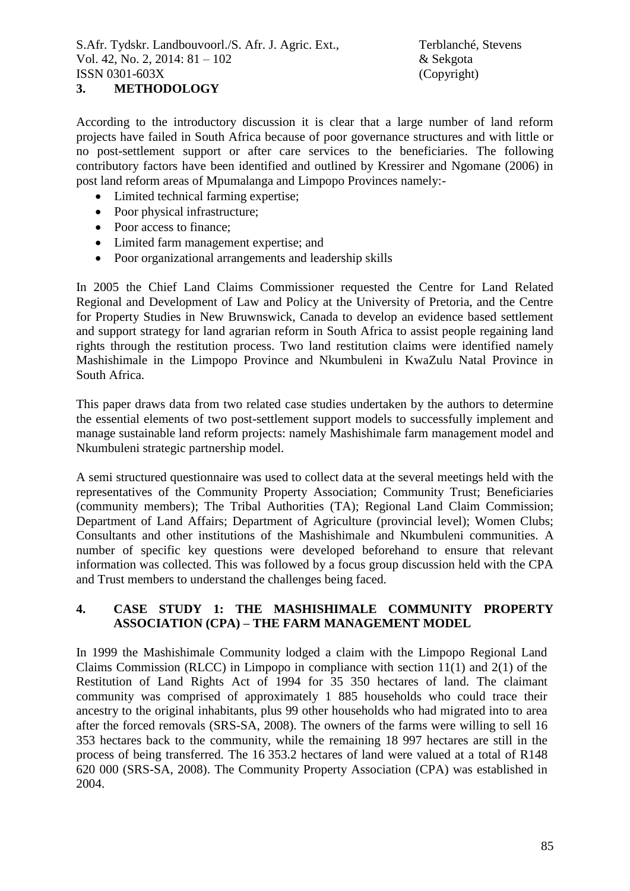### **3. METHODOLOGY**

According to the introductory discussion it is clear that a large number of land reform projects have failed in South Africa because of poor governance structures and with little or no post-settlement support or after care services to the beneficiaries. The following contributory factors have been identified and outlined by Kressirer and Ngomane (2006) in post land reform areas of Mpumalanga and Limpopo Provinces namely:-

- Limited technical farming expertise;
- Poor physical infrastructure;
- Poor access to finance:
- Limited farm management expertise; and
- Poor organizational arrangements and leadership skills

In 2005 the Chief Land Claims Commissioner requested the Centre for Land Related Regional and Development of Law and Policy at the University of Pretoria, and the Centre for Property Studies in New Bruwnswick, Canada to develop an evidence based settlement and support strategy for land agrarian reform in South Africa to assist people regaining land rights through the restitution process. Two land restitution claims were identified namely Mashishimale in the Limpopo Province and Nkumbuleni in KwaZulu Natal Province in South Africa.

This paper draws data from two related case studies undertaken by the authors to determine the essential elements of two post-settlement support models to successfully implement and manage sustainable land reform projects: namely Mashishimale farm management model and Nkumbuleni strategic partnership model.

A semi structured questionnaire was used to collect data at the several meetings held with the representatives of the Community Property Association; Community Trust; Beneficiaries (community members); The Tribal Authorities (TA); Regional Land Claim Commission; Department of Land Affairs; Department of Agriculture (provincial level); Women Clubs; Consultants and other institutions of the Mashishimale and Nkumbuleni communities. A number of specific key questions were developed beforehand to ensure that relevant information was collected. This was followed by a focus group discussion held with the CPA and Trust members to understand the challenges being faced.

#### **4. CASE STUDY 1: THE MASHISHIMALE COMMUNITY PROPERTY ASSOCIATION (CPA) – THE FARM MANAGEMENT MODEL**

In 1999 the Mashishimale Community lodged a claim with the Limpopo Regional Land Claims Commission (RLCC) in Limpopo in compliance with section 11(1) and 2(1) of the Restitution of Land Rights Act of 1994 for 35 350 hectares of land. The claimant community was comprised of approximately 1 885 households who could trace their ancestry to the original inhabitants, plus 99 other households who had migrated into to area after the forced removals (SRS-SA, 2008). The owners of the farms were willing to sell 16 353 hectares back to the community, while the remaining 18 997 hectares are still in the process of being transferred. The 16 353.2 hectares of land were valued at a total of R148 620 000 (SRS-SA, 2008). The Community Property Association (CPA) was established in 2004.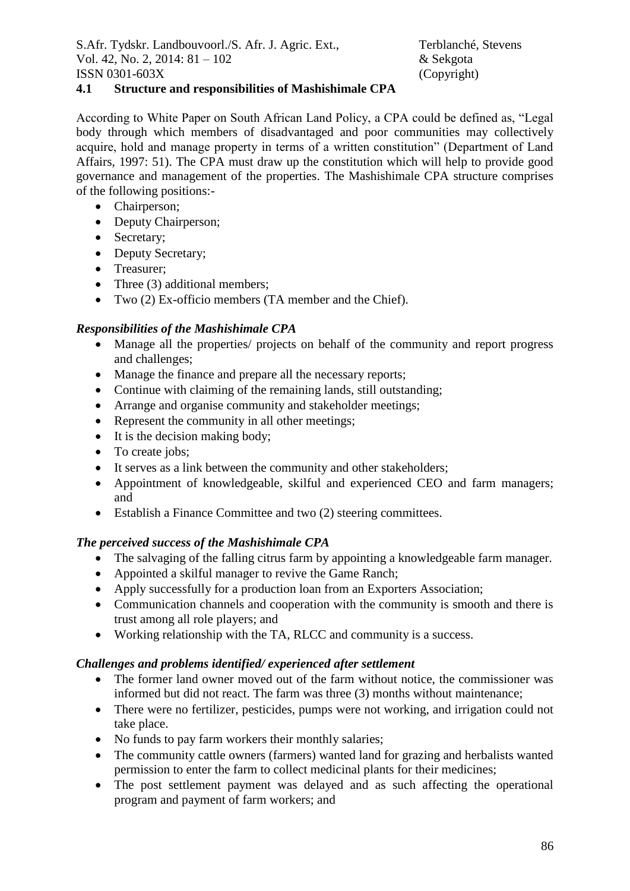### **4.1 Structure and responsibilities of Mashishimale CPA**

According to White Paper on South African Land Policy, a CPA could be defined as, "Legal body through which members of disadvantaged and poor communities may collectively acquire, hold and manage property in terms of a written constitution" (Department of Land Affairs, 1997: 51). The CPA must draw up the constitution which will help to provide good governance and management of the properties. The Mashishimale CPA structure comprises of the following positions:-

- Chairperson;
- Deputy Chairperson;
- Secretary;
- Deputy Secretary;
- Treasurer;
- Three (3) additional members;
- Two (2) Ex-officio members (TA member and the Chief).

# *Responsibilities of the Mashishimale CPA*

- Manage all the properties/ projects on behalf of the community and report progress and challenges;
- Manage the finance and prepare all the necessary reports;
- Continue with claiming of the remaining lands, still outstanding;
- Arrange and organise community and stakeholder meetings;
- Represent the community in all other meetings;
- $\bullet$  It is the decision making body:
- To create jobs;
- It serves as a link between the community and other stakeholders;
- Appointment of knowledgeable, skilful and experienced CEO and farm managers; and
- Establish a Finance Committee and two (2) steering committees.

## *The perceived success of the Mashishimale CPA*

- The salvaging of the falling citrus farm by appointing a knowledgeable farm manager.
- Appointed a skilful manager to revive the Game Ranch;
- Apply successfully for a production loan from an Exporters Association:
- Communication channels and cooperation with the community is smooth and there is trust among all role players; and
- Working relationship with the TA, RLCC and community is a success.

# *Challenges and problems identified/ experienced after settlement*

- The former land owner moved out of the farm without notice, the commissioner was informed but did not react. The farm was three (3) months without maintenance;
- There were no fertilizer, pesticides, pumps were not working, and irrigation could not take place.
- No funds to pay farm workers their monthly salaries:
- The community cattle owners (farmers) wanted land for grazing and herbalists wanted permission to enter the farm to collect medicinal plants for their medicines;
- The post settlement payment was delayed and as such affecting the operational program and payment of farm workers; and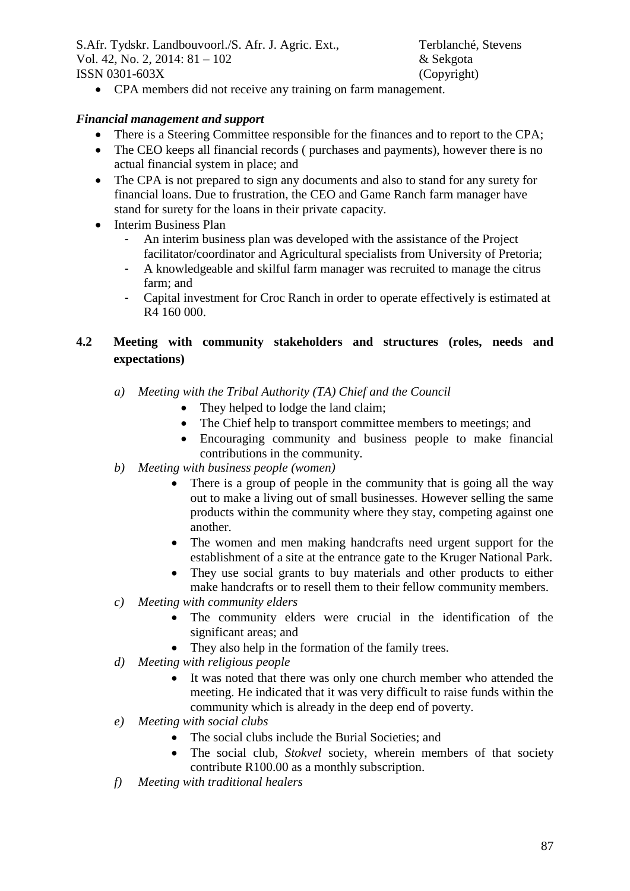• CPA members did not receive any training on farm management.

#### *Financial management and support*

- There is a Steering Committee responsible for the finances and to report to the CPA;
- The CEO keeps all financial records ( purchases and payments), however there is no actual financial system in place; and
- The CPA is not prepared to sign any documents and also to stand for any surety for financial loans. Due to frustration, the CEO and Game Ranch farm manager have stand for surety for the loans in their private capacity.
- Interim Business Plan
	- An interim business plan was developed with the assistance of the Project facilitator/coordinator and Agricultural specialists from University of Pretoria;
	- A knowledgeable and skilful farm manager was recruited to manage the citrus farm; and
	- Capital investment for Croc Ranch in order to operate effectively is estimated at R4 160 000.

## **4.2 Meeting with community stakeholders and structures (roles, needs and expectations)**

- *a) Meeting with the Tribal Authority (TA) Chief and the Council*
	- They helped to lodge the land claim;
	- The Chief help to transport committee members to meetings; and
	- Encouraging community and business people to make financial contributions in the community.
- *b) Meeting with business people (women)*
	- There is a group of people in the community that is going all the way out to make a living out of small businesses. However selling the same products within the community where they stay, competing against one another.
	- The women and men making handcrafts need urgent support for the establishment of a site at the entrance gate to the Kruger National Park.
	- They use social grants to buy materials and other products to either make handcrafts or to resell them to their fellow community members.
- *c) Meeting with community elders*
	- The community elders were crucial in the identification of the significant areas; and
	- They also help in the formation of the family trees.
- *d) Meeting with religious people*
	- It was noted that there was only one church member who attended the meeting. He indicated that it was very difficult to raise funds within the community which is already in the deep end of poverty.
- *e) Meeting with social clubs*
	- The social clubs include the Burial Societies; and
	- The social club, *Stokvel* society, wherein members of that society contribute R100.00 as a monthly subscription.
- *f) Meeting with traditional healers*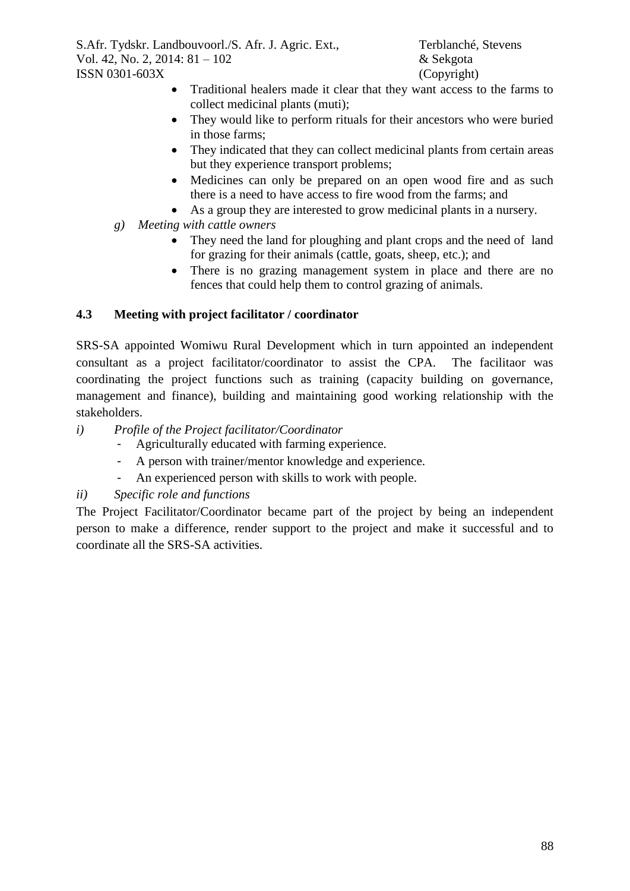- Traditional healers made it clear that they want access to the farms to collect medicinal plants (muti);
- They would like to perform rituals for their ancestors who were buried in those farms;
- They indicated that they can collect medicinal plants from certain areas but they experience transport problems;
- Medicines can only be prepared on an open wood fire and as such there is a need to have access to fire wood from the farms; and
- As a group they are interested to grow medicinal plants in a nursery.
- *g) Meeting with cattle owners*
	- They need the land for ploughing and plant crops and the need of land for grazing for their animals (cattle, goats, sheep, etc.); and
	- There is no grazing management system in place and there are no fences that could help them to control grazing of animals.

## **4.3 Meeting with project facilitator / coordinator**

SRS-SA appointed Womiwu Rural Development which in turn appointed an independent consultant as a project facilitator/coordinator to assist the CPA. The facilitaor was coordinating the project functions such as training (capacity building on governance, management and finance), building and maintaining good working relationship with the stakeholders.

- *i) Profile of the Project facilitator/Coordinator*
	- Agriculturally educated with farming experience.
	- A person with trainer/mentor knowledge and experience.
	- An experienced person with skills to work with people.

## *ii) Specific role and functions*

The Project Facilitator/Coordinator became part of the project by being an independent person to make a difference, render support to the project and make it successful and to coordinate all the SRS-SA activities.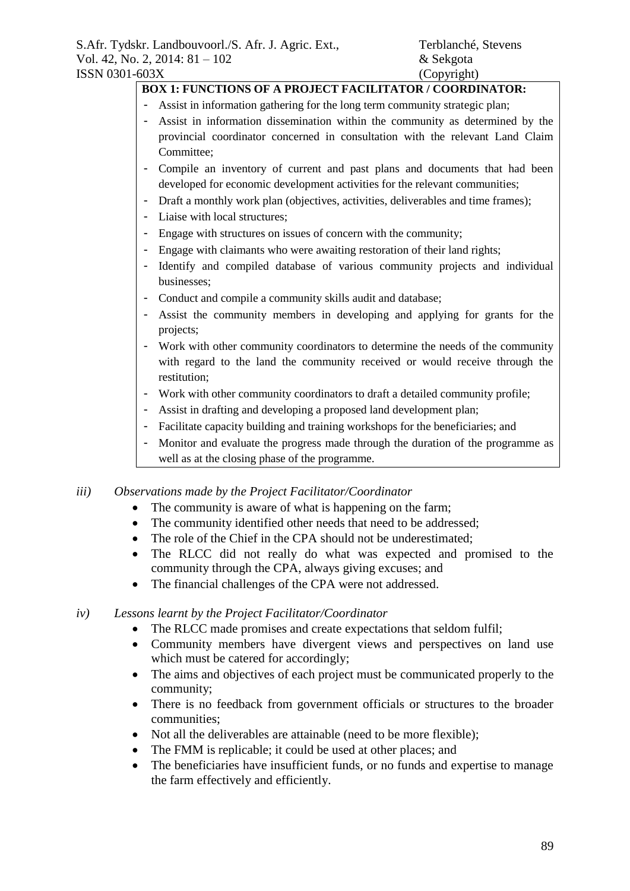# **BOX 1: FUNCTIONS OF A PROJECT FACILITATOR / COORDINATOR:**

- Assist in information gathering for the long term community strategic plan;
- Assist in information dissemination within the community as determined by the provincial coordinator concerned in consultation with the relevant Land Claim Committee;
- Compile an inventory of current and past plans and documents that had been developed for economic development activities for the relevant communities;
- Draft a monthly work plan (objectives, activities, deliverables and time frames);
- Liaise with local structures;
- Engage with structures on issues of concern with the community;
- Engage with claimants who were awaiting restoration of their land rights;
- Identify and compiled database of various community projects and individual businesses;
- Conduct and compile a community skills audit and database;
- Assist the community members in developing and applying for grants for the projects;
- Work with other community coordinators to determine the needs of the community with regard to the land the community received or would receive through the restitution;
- Work with other community coordinators to draft a detailed community profile;
- Assist in drafting and developing a proposed land development plan;
- Facilitate capacity building and training workshops for the beneficiaries; and
- Monitor and evaluate the progress made through the duration of the programme as well as at the closing phase of the programme.

#### *iii) Observations made by the Project Facilitator/Coordinator*

- The community is aware of what is happening on the farm;
- The community identified other needs that need to be addressed;
- The role of the Chief in the CPA should not be underestimated;
- The RLCC did not really do what was expected and promised to the community through the CPA, always giving excuses; and
- The financial challenges of the CPA were not addressed.

#### *iv) Lessons learnt by the Project Facilitator/Coordinator*

- The RLCC made promises and create expectations that seldom fulfil;
- Community members have divergent views and perspectives on land use which must be catered for accordingly;
- The aims and objectives of each project must be communicated properly to the community;
- There is no feedback from government officials or structures to the broader communities;
- Not all the deliverables are attainable (need to be more flexible);
- The FMM is replicable; it could be used at other places; and
- The beneficiaries have insufficient funds, or no funds and expertise to manage the farm effectively and efficiently.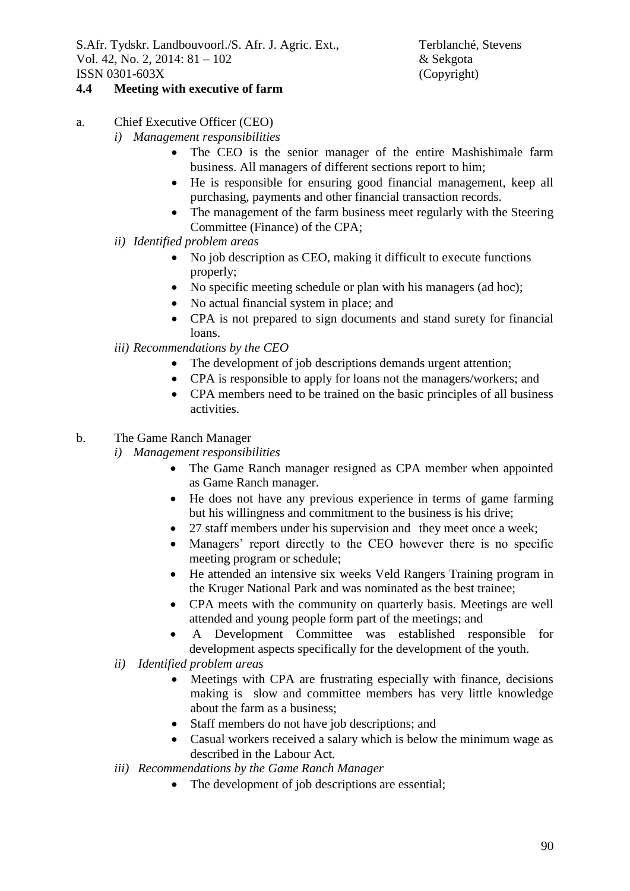## **4.4 Meeting with executive of farm**

- a. Chief Executive Officer (CEO)
	- *i) Management responsibilities*
		- The CEO is the senior manager of the entire Mashishimale farm business. All managers of different sections report to him;
		- He is responsible for ensuring good financial management, keep all purchasing, payments and other financial transaction records.
		- The management of the farm business meet regularly with the Steering Committee (Finance) of the CPA;
	- *ii) Identified problem areas*
		- No job description as CEO, making it difficult to execute functions properly;
		- No specific meeting schedule or plan with his managers (ad hoc);
		- No actual financial system in place; and
		- CPA is not prepared to sign documents and stand surety for financial loans.
	- *iii) Recommendations by the CEO*
		- The development of job descriptions demands urgent attention;
		- CPA is responsible to apply for loans not the managers/workers; and
		- CPA members need to be trained on the basic principles of all business activities.
- b. The Game Ranch Manager
	- *i) Management responsibilities*
		- The Game Ranch manager resigned as CPA member when appointed as Game Ranch manager.
		- He does not have any previous experience in terms of game farming but his willingness and commitment to the business is his drive;
		- 27 staff members under his supervision and they meet once a week;
		- Managers' report directly to the CEO however there is no specific meeting program or schedule;
		- He attended an intensive six weeks Veld Rangers Training program in the Kruger National Park and was nominated as the best trainee;
		- CPA meets with the community on quarterly basis. Meetings are well attended and young people form part of the meetings; and
		- A Development Committee was established responsible for development aspects specifically for the development of the youth.
	- *ii) Identified problem areas*
		- Meetings with CPA are frustrating especially with finance, decisions making is slow and committee members has very little knowledge about the farm as a business;
		- Staff members do not have job descriptions; and
		- Casual workers received a salary which is below the minimum wage as described in the Labour Act.
	- *iii) Recommendations by the Game Ranch Manager*
		- The development of job descriptions are essential;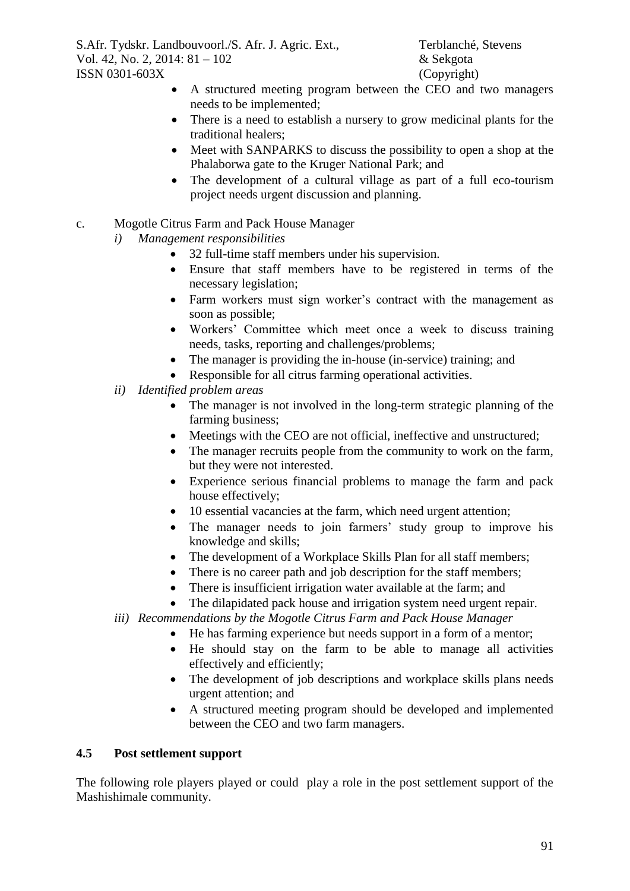- A structured meeting program between the CEO and two managers needs to be implemented;
- There is a need to establish a nursery to grow medicinal plants for the traditional healers;
- Meet with SANPARKS to discuss the possibility to open a shop at the Phalaborwa gate to the Kruger National Park; and
- The development of a cultural village as part of a full eco-tourism project needs urgent discussion and planning.

### c. Mogotle Citrus Farm and Pack House Manager

- *i) Management responsibilities*
	- 32 full-time staff members under his supervision.
	- Ensure that staff members have to be registered in terms of the necessary legislation;
	- Farm workers must sign worker's contract with the management as soon as possible;
	- Workers' Committee which meet once a week to discuss training needs, tasks, reporting and challenges/problems;
	- The manager is providing the in-house (in-service) training; and
	- Responsible for all citrus farming operational activities.
- *ii) Identified problem areas*
	- The manager is not involved in the long-term strategic planning of the farming business;
	- Meetings with the CEO are not official, ineffective and unstructured;
	- The manager recruits people from the community to work on the farm, but they were not interested.
	- Experience serious financial problems to manage the farm and pack house effectively;
	- 10 essential vacancies at the farm, which need urgent attention;
	- The manager needs to join farmers' study group to improve his knowledge and skills;
	- The development of a Workplace Skills Plan for all staff members;
	- There is no career path and job description for the staff members;
	- There is insufficient irrigation water available at the farm; and
	- The dilapidated pack house and irrigation system need urgent repair.
- *iii) Recommendations by the Mogotle Citrus Farm and Pack House Manager*
	- He has farming experience but needs support in a form of a mentor;
	- He should stay on the farm to be able to manage all activities effectively and efficiently;
	- The development of job descriptions and workplace skills plans needs urgent attention; and
	- A structured meeting program should be developed and implemented between the CEO and two farm managers.

#### **4.5 Post settlement support**

The following role players played or could play a role in the post settlement support of the Mashishimale community.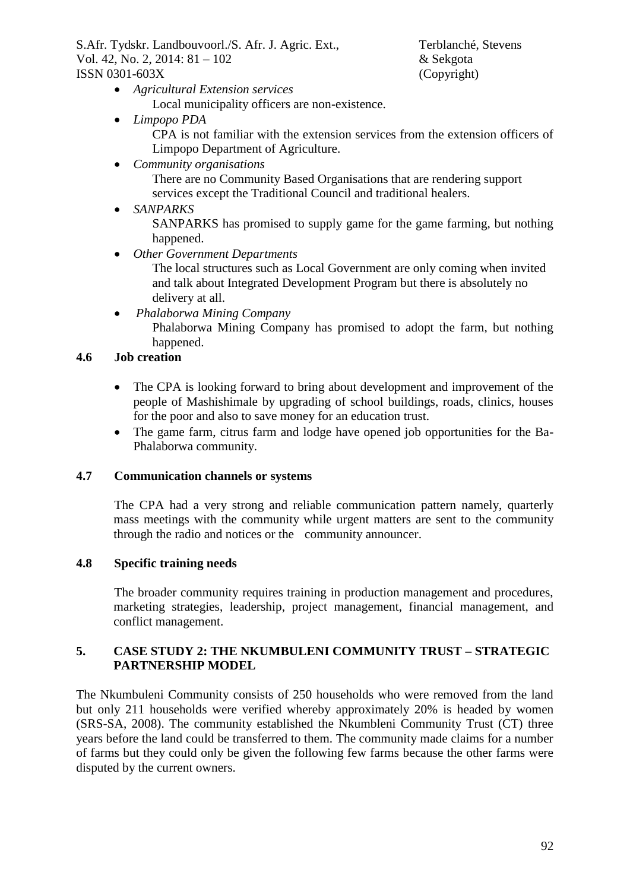- *Agricultural Extension services* Local municipality officers are non-existence.
- *Limpopo PDA*

CPA is not familiar with the extension services from the extension officers of Limpopo Department of Agriculture.

*Community organisations*

There are no Community Based Organisations that are rendering support services except the Traditional Council and traditional healers.

*SANPARKS*

SANPARKS has promised to supply game for the game farming, but nothing happened.

*Other Government Departments*

The local structures such as Local Government are only coming when invited and talk about Integrated Development Program but there is absolutely no delivery at all.

*Phalaborwa Mining Company*

Phalaborwa Mining Company has promised to adopt the farm, but nothing happened.

### **4.6 Job creation**

- The CPA is looking forward to bring about development and improvement of the people of Mashishimale by upgrading of school buildings, roads, clinics, houses for the poor and also to save money for an education trust.
- The game farm, citrus farm and lodge have opened job opportunities for the Ba-Phalaborwa community.

#### **4.7 Communication channels or systems**

The CPA had a very strong and reliable communication pattern namely, quarterly mass meetings with the community while urgent matters are sent to the community through the radio and notices or the community announcer.

#### **4.8 Specific training needs**

The broader community requires training in production management and procedures, marketing strategies, leadership, project management, financial management, and conflict management.

#### **5. CASE STUDY 2: THE NKUMBULENI COMMUNITY TRUST – STRATEGIC PARTNERSHIP MODEL**

The Nkumbuleni Community consists of 250 households who were removed from the land but only 211 households were verified whereby approximately 20% is headed by women (SRS-SA, 2008). The community established the Nkumbleni Community Trust (CT) three years before the land could be transferred to them. The community made claims for a number of farms but they could only be given the following few farms because the other farms were disputed by the current owners.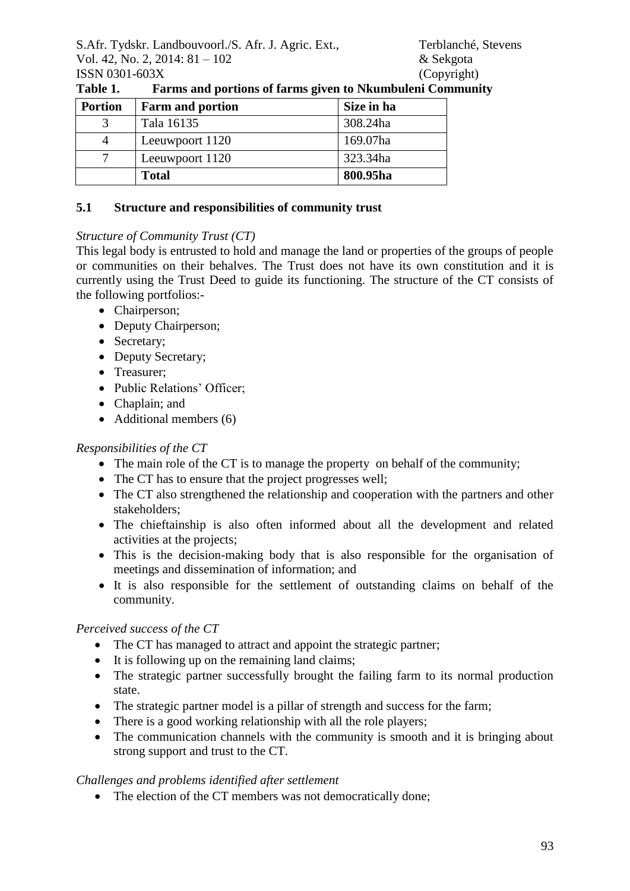| <b>Portion</b> | <b>Farm and portion</b> | Size in ha |
|----------------|-------------------------|------------|
|                | Tala 16135              | 308.24ha   |
|                | Leeuwpoort 1120         | 169.07ha   |
|                | Leeuwpoort 1120         | 323.34ha   |
|                | <b>Total</b>            | 800.95ha   |

**Table 1. Farms and portions of farms given to Nkumbuleni Community**

### **5.1 Structure and responsibilities of community trust**

### *Structure of Community Trust (CT)*

This legal body is entrusted to hold and manage the land or properties of the groups of people or communities on their behalves. The Trust does not have its own constitution and it is currently using the Trust Deed to guide its functioning. The structure of the CT consists of the following portfolios:-

- Chairperson;
- Deputy Chairperson;
- Secretary;
- Deputy Secretary;
- Treasurer;
- Public Relations' Officer:
- Chaplain; and
- $\bullet$  Additional members (6)

### *Responsibilities of the CT*

- The main role of the CT is to manage the property on behalf of the community;
- The CT has to ensure that the project progresses well;
- The CT also strengthened the relationship and cooperation with the partners and other stakeholders;
- The chieftainship is also often informed about all the development and related activities at the projects;
- This is the decision-making body that is also responsible for the organisation of meetings and dissemination of information; and
- It is also responsible for the settlement of outstanding claims on behalf of the community.

## *Perceived success of the CT*

- The CT has managed to attract and appoint the strategic partner;
- It is following up on the remaining land claims;
- The strategic partner successfully brought the failing farm to its normal production state.
- The strategic partner model is a pillar of strength and success for the farm;
- There is a good working relationship with all the role players;
- The communication channels with the community is smooth and it is bringing about strong support and trust to the CT.

## *Challenges and problems identified after settlement*

• The election of the CT members was not democratically done;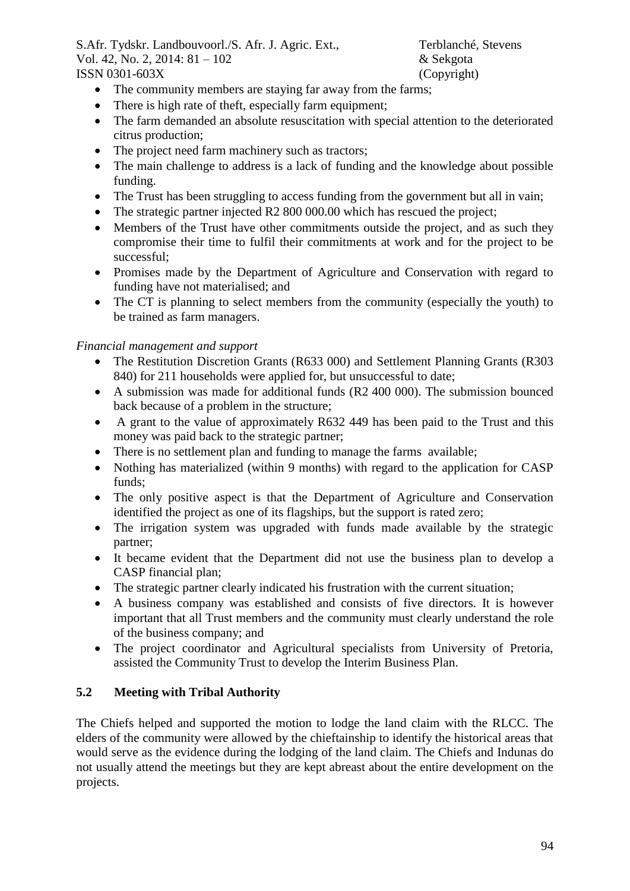- The community members are staying far away from the farms;
- There is high rate of theft, especially farm equipment;
- The farm demanded an absolute resuscitation with special attention to the deteriorated citrus production;
- The project need farm machinery such as tractors;
- The main challenge to address is a lack of funding and the knowledge about possible funding.
- The Trust has been struggling to access funding from the government but all in vain;
- The strategic partner injected R2 800 000.00 which has rescued the project;
- Members of the Trust have other commitments outside the project, and as such they compromise their time to fulfil their commitments at work and for the project to be successful;
- Promises made by the Department of Agriculture and Conservation with regard to funding have not materialised; and
- The CT is planning to select members from the community (especially the youth) to be trained as farm managers.

### *Financial management and support*

- The Restitution Discretion Grants (R633 000) and Settlement Planning Grants (R303 840) for 211 households were applied for, but unsuccessful to date;
- A submission was made for additional funds (R2 400 000). The submission bounced back because of a problem in the structure;
- A grant to the value of approximately R632 449 has been paid to the Trust and this money was paid back to the strategic partner;
- There is no settlement plan and funding to manage the farms available;
- Nothing has materialized (within 9 months) with regard to the application for CASP funds;
- The only positive aspect is that the Department of Agriculture and Conservation identified the project as one of its flagships, but the support is rated zero;
- The irrigation system was upgraded with funds made available by the strategic partner;
- It became evident that the Department did not use the business plan to develop a CASP financial plan;
- The strategic partner clearly indicated his frustration with the current situation;
- A business company was established and consists of five directors. It is however important that all Trust members and the community must clearly understand the role of the business company; and
- The project coordinator and Agricultural specialists from University of Pretoria, assisted the Community Trust to develop the Interim Business Plan.

## **5.2 Meeting with Tribal Authority**

The Chiefs helped and supported the motion to lodge the land claim with the RLCC. The elders of the community were allowed by the chieftainship to identify the historical areas that would serve as the evidence during the lodging of the land claim. The Chiefs and Indunas do not usually attend the meetings but they are kept abreast about the entire development on the projects.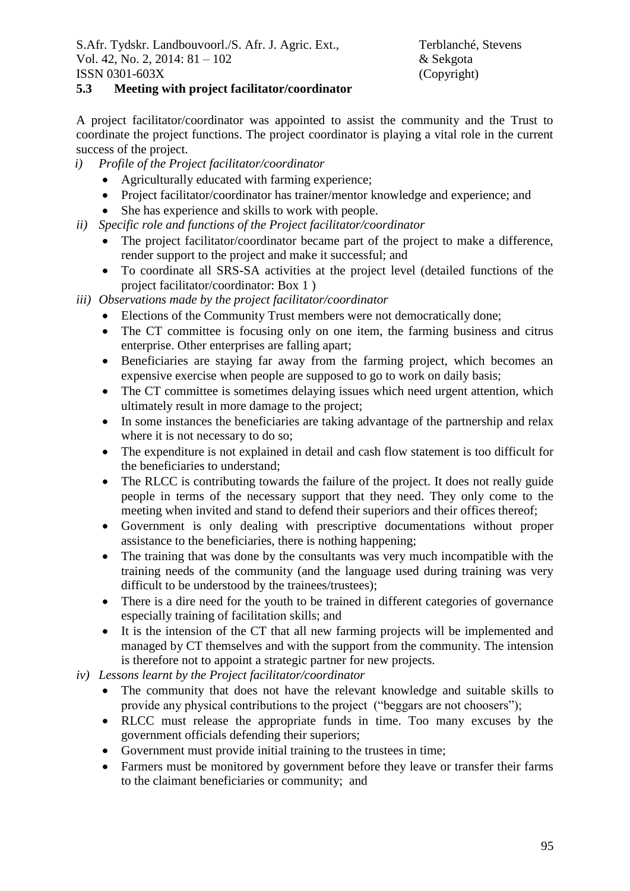### **5.3 Meeting with project facilitator/coordinator**

A project facilitator/coordinator was appointed to assist the community and the Trust to coordinate the project functions. The project coordinator is playing a vital role in the current success of the project.

- *i) Profile of the Project facilitator/coordinator*
	- Agriculturally educated with farming experience;
	- Project facilitator/coordinator has trainer/mentor knowledge and experience; and
	- She has experience and skills to work with people.
- *ii) Specific role and functions of the Project facilitator/coordinator*
	- The project facilitator/coordinator became part of the project to make a difference, render support to the project and make it successful; and
	- To coordinate all SRS-SA activities at the project level (detailed functions of the project facilitator/coordinator: Box 1 )
- *iii) Observations made by the project facilitator/coordinator*
	- Elections of the Community Trust members were not democratically done;
	- The CT committee is focusing only on one item, the farming business and citrus enterprise. Other enterprises are falling apart;
	- Beneficiaries are staying far away from the farming project, which becomes an expensive exercise when people are supposed to go to work on daily basis;
	- The CT committee is sometimes delaying issues which need urgent attention, which ultimately result in more damage to the project;
	- In some instances the beneficiaries are taking advantage of the partnership and relax where it is not necessary to do so;
	- The expenditure is not explained in detail and cash flow statement is too difficult for the beneficiaries to understand;
	- The RLCC is contributing towards the failure of the project. It does not really guide people in terms of the necessary support that they need. They only come to the meeting when invited and stand to defend their superiors and their offices thereof;
	- Government is only dealing with prescriptive documentations without proper assistance to the beneficiaries, there is nothing happening;
	- The training that was done by the consultants was very much incompatible with the training needs of the community (and the language used during training was very difficult to be understood by the trainees/trustees);
	- There is a dire need for the youth to be trained in different categories of governance especially training of facilitation skills; and
	- It is the intension of the CT that all new farming projects will be implemented and managed by CT themselves and with the support from the community. The intension is therefore not to appoint a strategic partner for new projects.
- *iv) Lessons learnt by the Project facilitator/coordinator*
	- The community that does not have the relevant knowledge and suitable skills to provide any physical contributions to the project ("beggars are not choosers");
	- RLCC must release the appropriate funds in time. Too many excuses by the government officials defending their superiors;
	- Government must provide initial training to the trustees in time;
	- Farmers must be monitored by government before they leave or transfer their farms to the claimant beneficiaries or community; and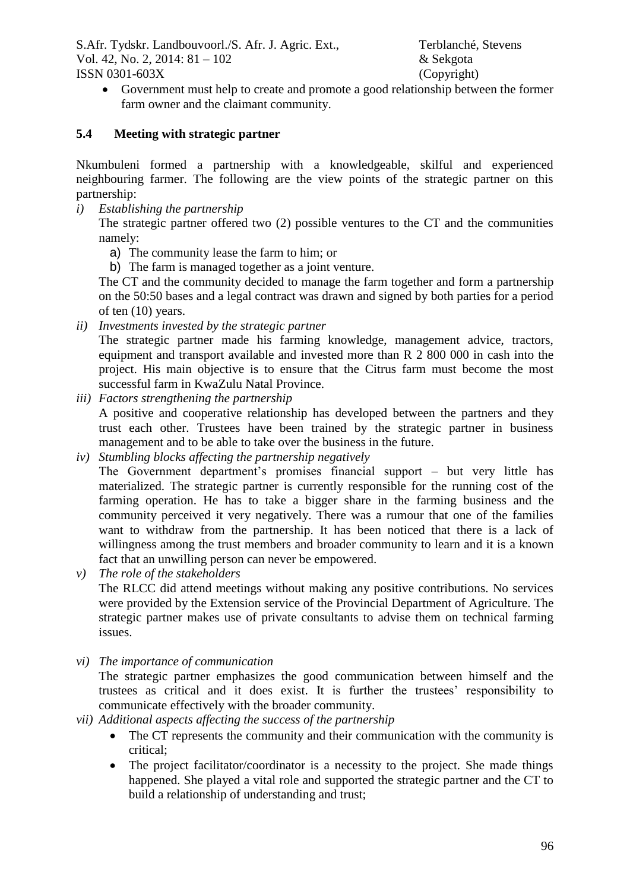Government must help to create and promote a good relationship between the former farm owner and the claimant community.

### **5.4 Meeting with strategic partner**

Nkumbuleni formed a partnership with a knowledgeable, skilful and experienced neighbouring farmer. The following are the view points of the strategic partner on this partnership:

*i) Establishing the partnership*

The strategic partner offered two (2) possible ventures to the CT and the communities namely:

- a) The community lease the farm to him; or
- b) The farm is managed together as a joint venture.

The CT and the community decided to manage the farm together and form a partnership on the 50:50 bases and a legal contract was drawn and signed by both parties for a period of ten (10) years.

*ii) Investments invested by the strategic partner*

The strategic partner made his farming knowledge, management advice, tractors, equipment and transport available and invested more than R 2 800 000 in cash into the project. His main objective is to ensure that the Citrus farm must become the most successful farm in KwaZulu Natal Province.

- *iii) Factors strengthening the partnership* A positive and cooperative relationship has developed between the partners and they trust each other. Trustees have been trained by the strategic partner in business management and to be able to take over the business in the future.
- *iv) Stumbling blocks affecting the partnership negatively*

The Government department's promises financial support – but very little has materialized. The strategic partner is currently responsible for the running cost of the farming operation. He has to take a bigger share in the farming business and the community perceived it very negatively. There was a rumour that one of the families want to withdraw from the partnership. It has been noticed that there is a lack of willingness among the trust members and broader community to learn and it is a known fact that an unwilling person can never be empowered.

- *v) The role of the stakeholders* The RLCC did attend meetings without making any positive contributions. No services were provided by the Extension service of the Provincial Department of Agriculture. The strategic partner makes use of private consultants to advise them on technical farming issues.
- *vi) The importance of communication*

The strategic partner emphasizes the good communication between himself and the trustees as critical and it does exist. It is further the trustees' responsibility to communicate effectively with the broader community.

- *vii) Additional aspects affecting the success of the partnership*
	- The CT represents the community and their communication with the community is critical;
	- The project facilitator/coordinator is a necessity to the project. She made things happened. She played a vital role and supported the strategic partner and the CT to build a relationship of understanding and trust;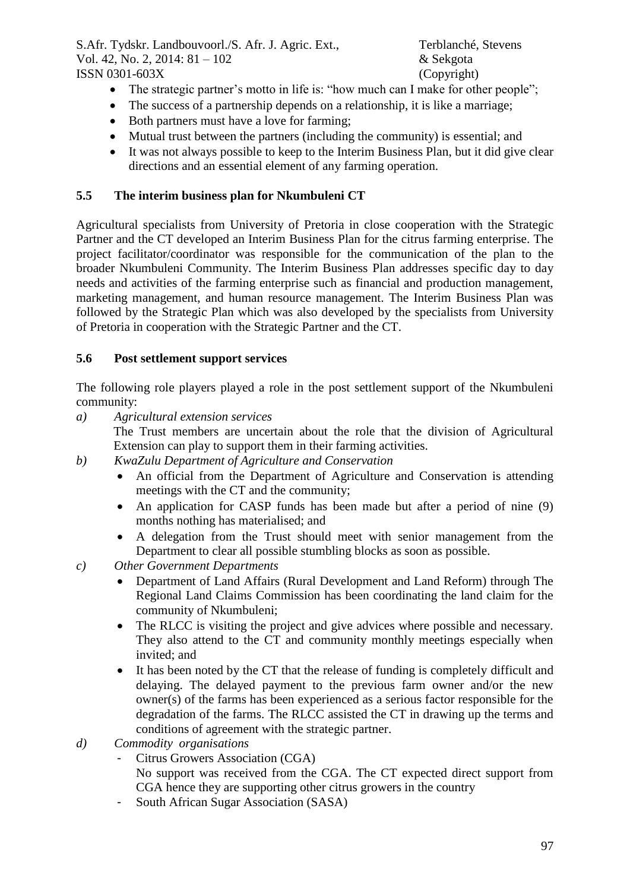- The strategic partner's motto in life is: "how much can I make for other people";
- The success of a partnership depends on a relationship, it is like a marriage;
- Both partners must have a love for farming;
- Mutual trust between the partners (including the community) is essential; and
- It was not always possible to keep to the Interim Business Plan, but it did give clear directions and an essential element of any farming operation.

### **5.5 The interim business plan for Nkumbuleni CT**

Agricultural specialists from University of Pretoria in close cooperation with the Strategic Partner and the CT developed an Interim Business Plan for the citrus farming enterprise. The project facilitator/coordinator was responsible for the communication of the plan to the broader Nkumbuleni Community. The Interim Business Plan addresses specific day to day needs and activities of the farming enterprise such as financial and production management, marketing management, and human resource management. The Interim Business Plan was followed by the Strategic Plan which was also developed by the specialists from University of Pretoria in cooperation with the Strategic Partner and the CT.

### **5.6 Post settlement support services**

The following role players played a role in the post settlement support of the Nkumbuleni community:

- *a) Agricultural extension services* The Trust members are uncertain about the role that the division of Agricultural Extension can play to support them in their farming activities.
- *b) KwaZulu Department of Agriculture and Conservation*
	- An official from the Department of Agriculture and Conservation is attending meetings with the CT and the community;
	- An application for CASP funds has been made but after a period of nine (9) months nothing has materialised; and
	- A delegation from the Trust should meet with senior management from the Department to clear all possible stumbling blocks as soon as possible.
- *c) Other Government Departments*
	- Department of Land Affairs (Rural Development and Land Reform) through The Regional Land Claims Commission has been coordinating the land claim for the community of Nkumbuleni;
	- The RLCC is visiting the project and give advices where possible and necessary. They also attend to the CT and community monthly meetings especially when invited; and
	- It has been noted by the CT that the release of funding is completely difficult and delaying. The delayed payment to the previous farm owner and/or the new owner(s) of the farms has been experienced as a serious factor responsible for the degradation of the farms. The RLCC assisted the CT in drawing up the terms and conditions of agreement with the strategic partner.
- *d) Commodity organisations*
	- Citrus Growers Association (CGA) No support was received from the CGA. The CT expected direct support from CGA hence they are supporting other citrus growers in the country
	- South African Sugar Association (SASA)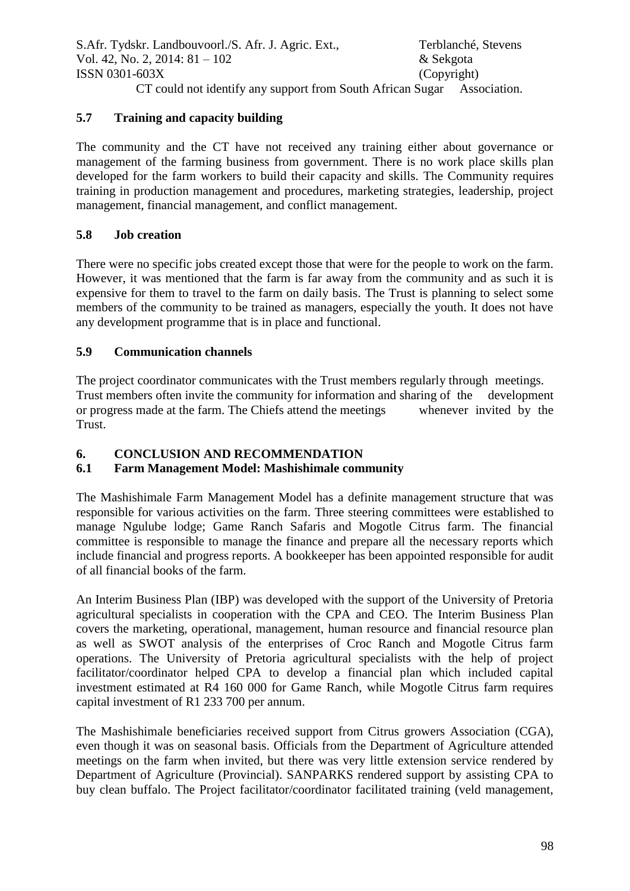CT could not identify any support from South African Sugar Association.

## **5.7 Training and capacity building**

The community and the CT have not received any training either about governance or management of the farming business from government. There is no work place skills plan developed for the farm workers to build their capacity and skills. The Community requires training in production management and procedures, marketing strategies, leadership, project management, financial management, and conflict management.

# **5.8 Job creation**

There were no specific jobs created except those that were for the people to work on the farm. However, it was mentioned that the farm is far away from the community and as such it is expensive for them to travel to the farm on daily basis. The Trust is planning to select some members of the community to be trained as managers, especially the youth. It does not have any development programme that is in place and functional.

# **5.9 Communication channels**

The project coordinator communicates with the Trust members regularly through meetings. Trust members often invite the community for information and sharing of the development or progress made at the farm. The Chiefs attend the meetings whenever invited by the Trust.

# **6. CONCLUSION AND RECOMMENDATION**

# **6.1 Farm Management Model: Mashishimale community**

The Mashishimale Farm Management Model has a definite management structure that was responsible for various activities on the farm. Three steering committees were established to manage Ngulube lodge; Game Ranch Safaris and Mogotle Citrus farm. The financial committee is responsible to manage the finance and prepare all the necessary reports which include financial and progress reports. A bookkeeper has been appointed responsible for audit of all financial books of the farm.

An Interim Business Plan (IBP) was developed with the support of the University of Pretoria agricultural specialists in cooperation with the CPA and CEO. The Interim Business Plan covers the marketing, operational, management, human resource and financial resource plan as well as SWOT analysis of the enterprises of Croc Ranch and Mogotle Citrus farm operations. The University of Pretoria agricultural specialists with the help of project facilitator/coordinator helped CPA to develop a financial plan which included capital investment estimated at R4 160 000 for Game Ranch, while Mogotle Citrus farm requires capital investment of R1 233 700 per annum.

The Mashishimale beneficiaries received support from Citrus growers Association (CGA), even though it was on seasonal basis. Officials from the Department of Agriculture attended meetings on the farm when invited, but there was very little extension service rendered by Department of Agriculture (Provincial). SANPARKS rendered support by assisting CPA to buy clean buffalo. The Project facilitator/coordinator facilitated training (veld management,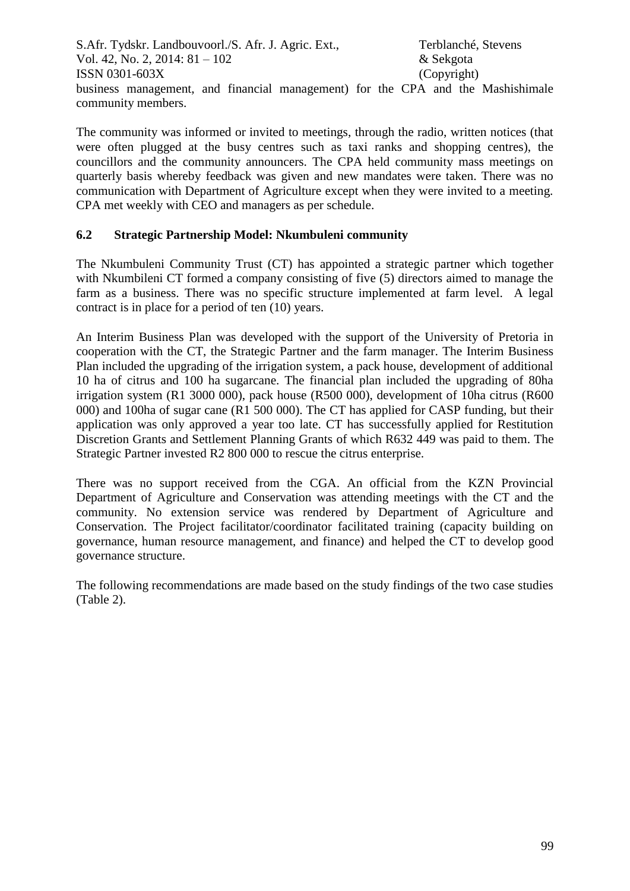S.Afr. Tydskr. Landbouvoorl./S. Afr. J. Agric. Ext., Terblanché, Stevens Vol. 42, No. 2, 2014: 81 – 102 & Sekgota ISSN 0301-603X (Copyright) business management, and financial management) for the CPA and the Mashishimale community members.

The community was informed or invited to meetings, through the radio, written notices (that were often plugged at the busy centres such as taxi ranks and shopping centres), the councillors and the community announcers. The CPA held community mass meetings on quarterly basis whereby feedback was given and new mandates were taken. There was no communication with Department of Agriculture except when they were invited to a meeting. CPA met weekly with CEO and managers as per schedule.

### **6.2 Strategic Partnership Model: Nkumbuleni community**

The Nkumbuleni Community Trust (CT) has appointed a strategic partner which together with Nkumbileni CT formed a company consisting of five (5) directors aimed to manage the farm as a business. There was no specific structure implemented at farm level. A legal contract is in place for a period of ten (10) years.

An Interim Business Plan was developed with the support of the University of Pretoria in cooperation with the CT, the Strategic Partner and the farm manager. The Interim Business Plan included the upgrading of the irrigation system, a pack house, development of additional 10 ha of citrus and 100 ha sugarcane. The financial plan included the upgrading of 80ha irrigation system (R1 3000 000), pack house (R500 000), development of 10ha citrus (R600 000) and 100ha of sugar cane (R1 500 000). The CT has applied for CASP funding, but their application was only approved a year too late. CT has successfully applied for Restitution Discretion Grants and Settlement Planning Grants of which R632 449 was paid to them. The Strategic Partner invested R2 800 000 to rescue the citrus enterprise.

There was no support received from the CGA. An official from the KZN Provincial Department of Agriculture and Conservation was attending meetings with the CT and the community. No extension service was rendered by Department of Agriculture and Conservation. The Project facilitator/coordinator facilitated training (capacity building on governance, human resource management, and finance) and helped the CT to develop good governance structure.

The following recommendations are made based on the study findings of the two case studies (Table 2).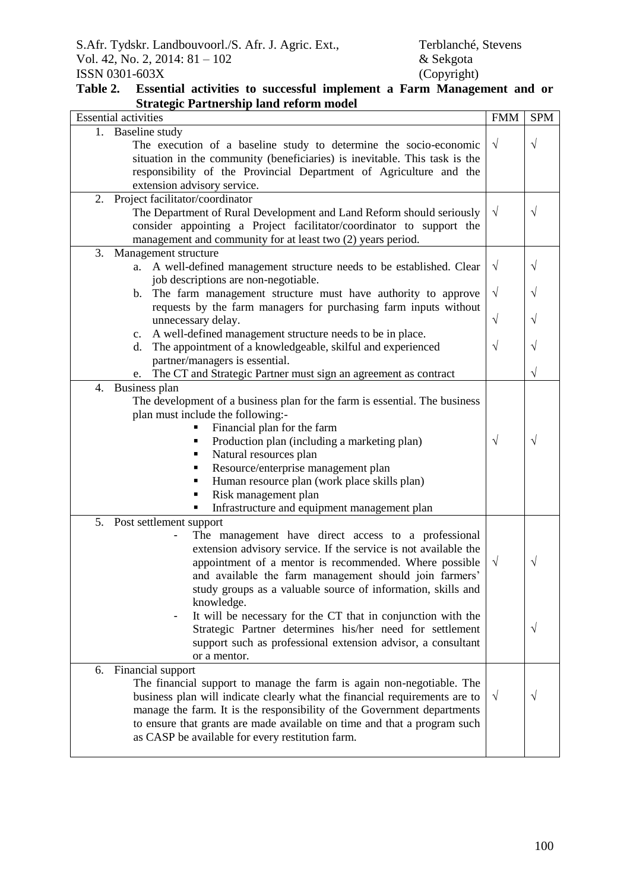#### **Table 2. Essential activities to successful implement a Farm Management and or Strategic Partnership land reform model**

| <b>Essential activities</b>                                                                                                                                  |            | <b>SPM</b> |
|--------------------------------------------------------------------------------------------------------------------------------------------------------------|------------|------------|
| 1. Baseline study                                                                                                                                            |            |            |
| The execution of a baseline study to determine the socio-economic                                                                                            |            | $\sqrt{}$  |
| situation in the community (beneficiaries) is inevitable. This task is the                                                                                   |            |            |
| responsibility of the Provincial Department of Agriculture and the                                                                                           |            |            |
| extension advisory service.                                                                                                                                  |            |            |
| 2.<br>Project facilitator/coordinator                                                                                                                        |            |            |
| The Department of Rural Development and Land Reform should seriously                                                                                         |            | $\sqrt{}$  |
| consider appointing a Project facilitator/coordinator to support the                                                                                         |            |            |
| management and community for at least two (2) years period.                                                                                                  |            |            |
| 3.<br>Management structure                                                                                                                                   |            |            |
| A well-defined management structure needs to be established. Clear<br>a.                                                                                     |            | V          |
| job descriptions are non-negotiable.                                                                                                                         | $\sqrt{}$  |            |
| The farm management structure must have authority to approve<br>b.<br>requests by the farm managers for purchasing farm inputs without<br>unnecessary delay. |            | $\sqrt{}$  |
|                                                                                                                                                              |            |            |
|                                                                                                                                                              |            | V          |
| A well-defined management structure needs to be in place.<br>c.<br>The appointment of a knowledgeable, skilful and experienced<br>d.                         |            |            |
|                                                                                                                                                              |            | V          |
| partner/managers is essential.                                                                                                                               |            |            |
| The CT and Strategic Partner must sign an agreement as contract<br>e.                                                                                        |            | V          |
| 4.<br>Business plan                                                                                                                                          |            |            |
| The development of a business plan for the farm is essential. The business                                                                                   |            |            |
| plan must include the following:-                                                                                                                            |            |            |
| Financial plan for the farm                                                                                                                                  |            |            |
| Production plan (including a marketing plan)                                                                                                                 | $\sqrt{}$  | V          |
| Natural resources plan<br>٠                                                                                                                                  |            |            |
| Resource/enterprise management plan<br>п                                                                                                                     |            |            |
| Human resource plan (work place skills plan)<br>٠                                                                                                            |            |            |
| Risk management plan<br>٠                                                                                                                                    |            |            |
| Infrastructure and equipment management plan<br>٠                                                                                                            |            |            |
| 5.<br>Post settlement support                                                                                                                                |            |            |
| The management have direct access to a professional                                                                                                          |            |            |
| extension advisory service. If the service is not available the                                                                                              |            |            |
| appointment of a mentor is recommended. Where possible                                                                                                       | $\sqrt{ }$ | $\sqrt{}$  |
| and available the farm management should join farmers'                                                                                                       |            |            |
| study groups as a valuable source of information, skills and                                                                                                 |            |            |
| knowledge.                                                                                                                                                   |            |            |
| It will be necessary for the CT that in conjunction with the                                                                                                 |            |            |
| Strategic Partner determines his/her need for settlement                                                                                                     |            | V          |
| support such as professional extension advisor, a consultant                                                                                                 |            |            |
| or a mentor.                                                                                                                                                 |            |            |
| 6.<br>Financial support                                                                                                                                      |            |            |
| The financial support to manage the farm is again non-negotiable. The                                                                                        |            |            |
| business plan will indicate clearly what the financial requirements are to                                                                                   |            | V          |
| manage the farm. It is the responsibility of the Government departments                                                                                      |            |            |
| to ensure that grants are made available on time and that a program such                                                                                     |            |            |
| as CASP be available for every restitution farm.                                                                                                             |            |            |
|                                                                                                                                                              |            |            |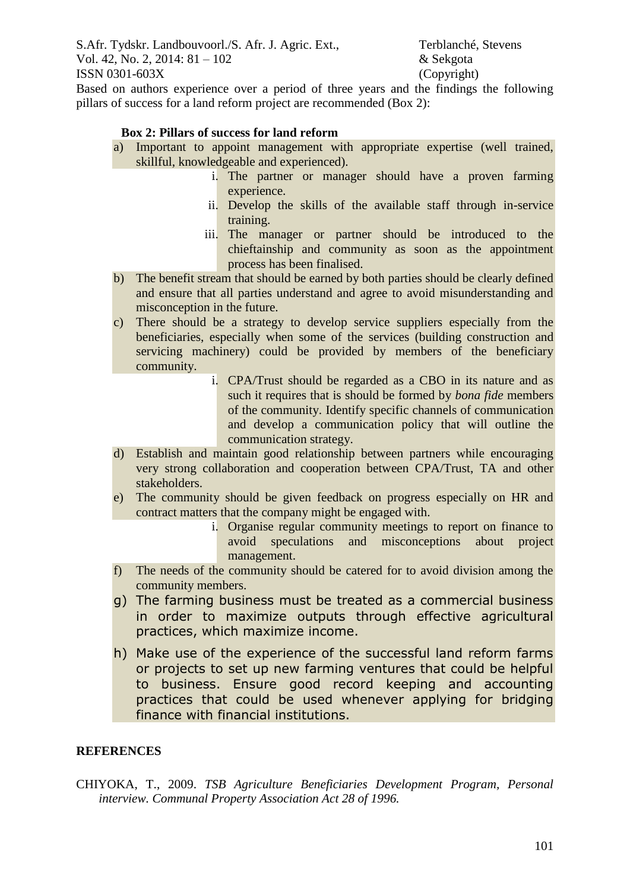Based on authors experience over a period of three years and the findings the following pillars of success for a land reform project are recommended (Box 2):

#### **Box 2: Pillars of success for land reform**

- a) Important to appoint management with appropriate expertise (well trained, skillful, knowledgeable and experienced).
	- i. The partner or manager should have a proven farming experience.
	- ii. Develop the skills of the available staff through in-service training.
	- iii. The manager or partner should be introduced to the chieftainship and community as soon as the appointment process has been finalised.
- b) The benefit stream that should be earned by both parties should be clearly defined and ensure that all parties understand and agree to avoid misunderstanding and misconception in the future.
- c) There should be a strategy to develop service suppliers especially from the beneficiaries, especially when some of the services (building construction and servicing machinery) could be provided by members of the beneficiary community.
	- i. CPA/Trust should be regarded as a CBO in its nature and as such it requires that is should be formed by *bona fide* members of the community. Identify specific channels of communication and develop a communication policy that will outline the communication strategy.
- d) Establish and maintain good relationship between partners while encouraging very strong collaboration and cooperation between CPA/Trust, TA and other stakeholders.
- e) The community should be given feedback on progress especially on HR and contract matters that the company might be engaged with.
	- i. Organise regular community meetings to report on finance to avoid speculations and misconceptions about project management.
- f) The needs of the community should be catered for to avoid division among the community members.
- g) The farming business must be treated as a commercial business in order to maximize outputs through effective agricultural practices, which maximize income.
- h) Make use of the experience of the successful land reform farms or projects to set up new farming ventures that could be helpful to business. Ensure good record keeping and accounting practices that could be used whenever applying for bridging finance with financial institutions.

#### **REFERENCES**

CHIYOKA, T., 2009. *TSB Agriculture Beneficiaries Development Program, Personal interview. Communal Property Association Act 28 of 1996.*